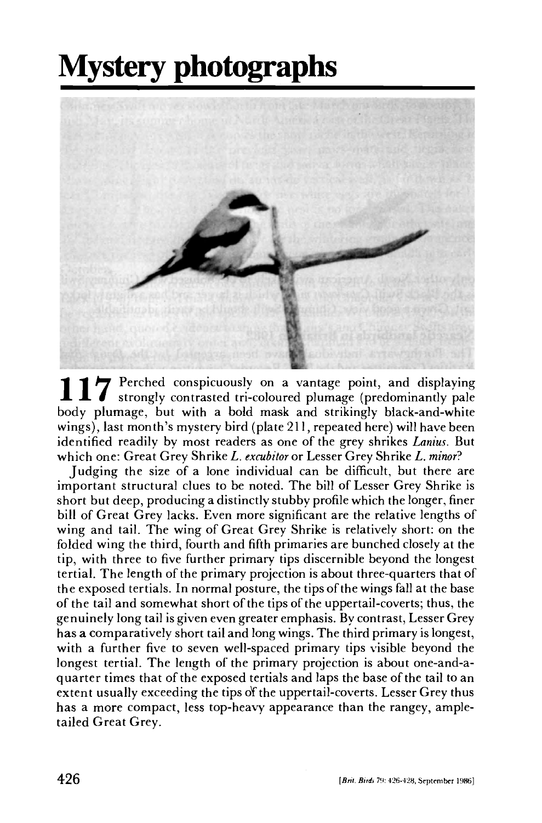## **Mystery photographs**



117 Perched conspicuously on a vantage point, and displaying<br>body plumage, but with a bold mask and strikingly black-and-white Perched conspicuously on a vantage point, and displaying strongly contrasted tri-coloured plumage (predominantly pale wings), last month's mystery bird (plate 211, repeated here) will have been identified readily by most readers as one of the grey shrikes *Lanius.* But which one: Great Grey Shrike *L. excubitor* or Lesser Grey Shrike *L. minor?* 

Judging the size of a lone individual can be difficult, but there are important structural clues to be noted. The bill of Lesser Grey Shrike is short but deep, producing a distinctly stubby profile which the longer, finer bill of Great Grey lacks. Even more significant are the relative lengths of wing and tail. The wing of Great Grey Shrike is relatively short: on the folded wing the third, fourth and fifth primaries are bunched closely at the tip, with three to five further primary tips discernible beyond the longest tertial. The length of the primary projection is about three-quarters that of the exposed tertials. In normal posture, the tips of the wings fall at the base of the tail and somewhat short of the tips of the uppertail-coverts; thus, the genuinely long tail is given even greater emphasis. By contrast, Lesser Grey has a comparatively short tail and long wings. The third primary is longest, with a further five to seven well-spaced primary tips visible beyond the longest tertial. The length of the primary projection is about one-and-aquarter times that of the exposed tertials and laps the base of the tail to an extent usually exceeding the tips of the uppertail-coverts. Lesser Grey thus has a more compact, less top-heavy appearance than the rangey, ampletailed Great Grey.